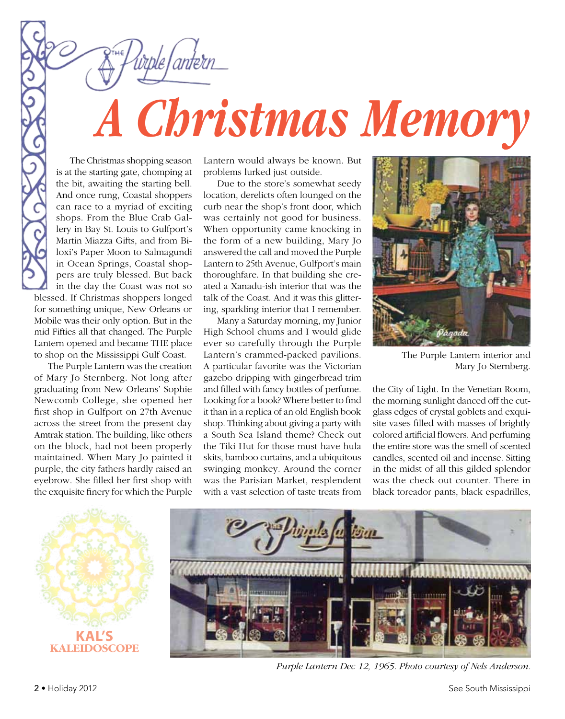

The Christmas shopping season is at the starting gate, chomping at the bit, awaiting the starting bell. And once rung, Coastal shoppers can race to a myriad of exciting shops. From the Blue Crab Gallery in Bay St. Louis to Gulfport's Martin Miazza Gifts, and from Biloxi's Paper Moon to Salmagundi in Ocean Springs, Coastal shoppers are truly blessed. But back in the day the Coast was not so blessed. If Christmas shoppers longed for something unique, New Orleans or Mobile was their only option. But in the mid Fifties all that changed. The Purple Lantern opened and became THE place to shop on the Mississippi Gulf Coast.

The Purple Lantern was the creation of Mary Jo Sternberg. Not long after graduating from New Orleans' Sophie Newcomb College, she opened her first shop in Gulfport on 27th Avenue across the street from the present day Amtrak station. The building, like others on the block, had not been properly maintained. When Mary Jo painted it purple, the city fathers hardly raised an eyebrow. She filled her first shop with the exquisite finery for which the Purple

Lantern would always be known. But problems lurked just outside.

Due to the store's somewhat seedy location, derelicts often lounged on the curb near the shop's front door, which was certainly not good for business. When opportunity came knocking in the form of a new building, Mary Jo answered the call and moved the Purple Lantern to 25th Avenue, Gulfport's main thoroughfare. In that building she created a Xanadu-ish interior that was the talk of the Coast. And it was this glittering, sparkling interior that I remember.

Many a Saturday morning, my Junior High School chums and I would glide ever so carefully through the Purple Lantern's crammed-packed pavilions. A particular favorite was the Victorian gazebo dripping with gingerbread trim and filled with fancy bottles of perfume. Looking for a book? Where better to find it than in a replica of an old English book shop. Thinking about giving a party with a South Sea Island theme? Check out the Tiki Hut for those must have hula skits, bamboo curtains, and a ubiquitous swinging monkey. Around the corner was the Parisian Market, resplendent with a vast selection of taste treats from



The Purple Lantern interior and Mary Jo Sternberg.

the City of Light. In the Venetian Room, the morning sunlight danced off the cutglass edges of crystal goblets and exquisite vases filled with masses of brightly colored artificial flowers. And perfuming the entire store was the smell of scented candles, scented oil and incense. Sitting in the midst of all this gilded splendor was the check-out counter. There in black toreador pants, black espadrilles,



*Purple Lantern Dec 12, 1965. Photo courtesy of Nels Anderson.*